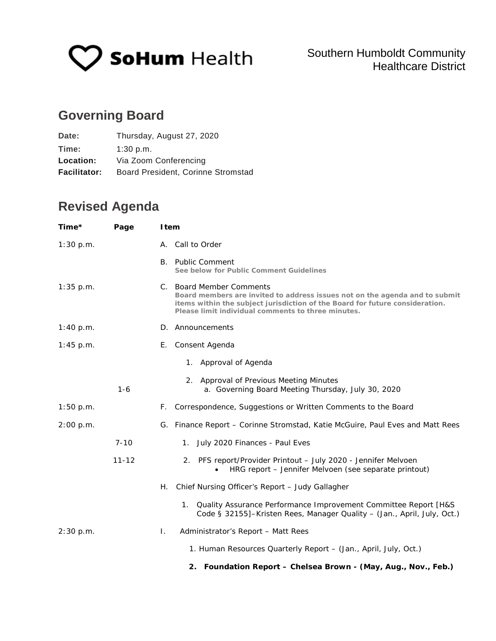

# **Governing Board**

| Date:               | Thursday, August 27, 2020          |
|---------------------|------------------------------------|
| Time:               | 1:30 p.m.                          |
| Location:           | Via Zoom Conferencing              |
| <b>Facilitator:</b> | Board President, Corinne Stromstad |

# **Revised Agenda**

| Time*       | Page      | <b>I</b> tem                                                                                                                                                                                                                                  |
|-------------|-----------|-----------------------------------------------------------------------------------------------------------------------------------------------------------------------------------------------------------------------------------------------|
| 1:30 p.m.   |           | A. Call to Order                                                                                                                                                                                                                              |
|             |           | <b>B.</b> Public Comment<br>See below for Public Comment Guidelines                                                                                                                                                                           |
| $1:35$ p.m. |           | C. Board Member Comments<br>Board members are invited to address issues not on the agenda and to submit<br>items within the subject jurisdiction of the Board for future consideration.<br>Please limit individual comments to three minutes. |
| 1:40 p.m.   |           | D. Announcements                                                                                                                                                                                                                              |
| $1:45$ p.m. |           | Consent Agenda<br>Е.                                                                                                                                                                                                                          |
|             |           | 1. Approval of Agenda                                                                                                                                                                                                                         |
|             | $1 - 6$   | 2. Approval of Previous Meeting Minutes<br>a. Governing Board Meeting Thursday, July 30, 2020                                                                                                                                                 |
| 1:50 p.m.   |           | F. Correspondence, Suggestions or Written Comments to the Board                                                                                                                                                                               |
| 2:00 p.m.   |           | G. Finance Report - Corinne Stromstad, Katie McGuire, Paul Eves and Matt Rees                                                                                                                                                                 |
|             | $7 - 10$  | 1. July 2020 Finances - Paul Eves                                                                                                                                                                                                             |
|             | $11 - 12$ | 2. PFS report/Provider Printout - July 2020 - Jennifer Melvoen<br>HRG report - Jennifer Melvoen (see separate printout)                                                                                                                       |
|             |           | Chief Nursing Officer's Report - Judy Gallagher<br>Н.                                                                                                                                                                                         |
|             |           | 1. Quality Assurance Performance Improvement Committee Report [H&S<br>Code § 32155]-Kristen Rees, Manager Quality - (Jan., April, July, Oct.)                                                                                                 |
| 2:30 p.m.   |           | L.<br>Administrator's Report - Matt Rees                                                                                                                                                                                                      |
|             |           | 1. Human Resources Quarterly Report - (Jan., April, July, Oct.)                                                                                                                                                                               |
|             |           | 2. Foundation Report - Chelsea Brown - (May, Aug., Nov., Feb.)                                                                                                                                                                                |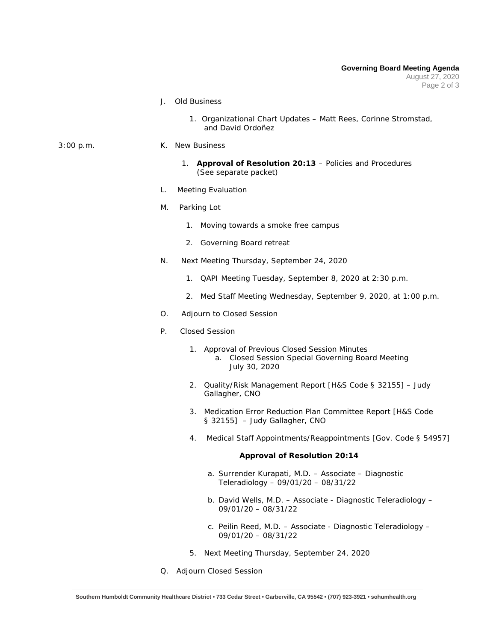- J. Old Business
	- 1. Organizational Chart Updates Matt Rees, Corinne Stromstad, and David Ordoñez
- 3:00 p.m. K. New Business
	- 1. **Approval of Resolution 20:13** Policies and Procedures (See separate packet)
	- L. Meeting Evaluation
	- M. Parking Lot
		- 1. Moving towards a smoke free campus
		- 2. Governing Board retreat
	- N. Next Meeting Thursday, September 24, 2020
		- 1. QAPI Meeting Tuesday, September 8, 2020 at 2:30 p.m.
		- 2. Med Staff Meeting Wednesday, September 9, 2020, at 1:00 p.m.
	- O. Adjourn to Closed Session
	- P. Closed Session
		- 1. Approval of Previous Closed Session Minutes a. Closed Session Special Governing Board Meeting July 30, 2020
		- 2. Quality/Risk Management Report [H&S Code § 32155] Judy Gallagher, CNO
		- 3. Medication Error Reduction Plan Committee Report [H&S Code § 32155] – Judy Gallagher, CNO
		- 4. Medical Staff Appointments/Reappointments [Gov. Code § 54957]

## **Approval of Resolution 20:14**

- a. Surrender Kurapati, M.D. Associate Diagnostic Teleradiology – 09/01/20 – 08/31/22
- b. David Wells, M.D. Associate Diagnostic Teleradiology 09/01/20 – 08/31/22
- c. Peilin Reed, M.D. Associate Diagnostic Teleradiology 09/01/20 – 08/31/22
- 5. Next Meeting Thursday, September 24, 2020
- Q. Adjourn Closed Session